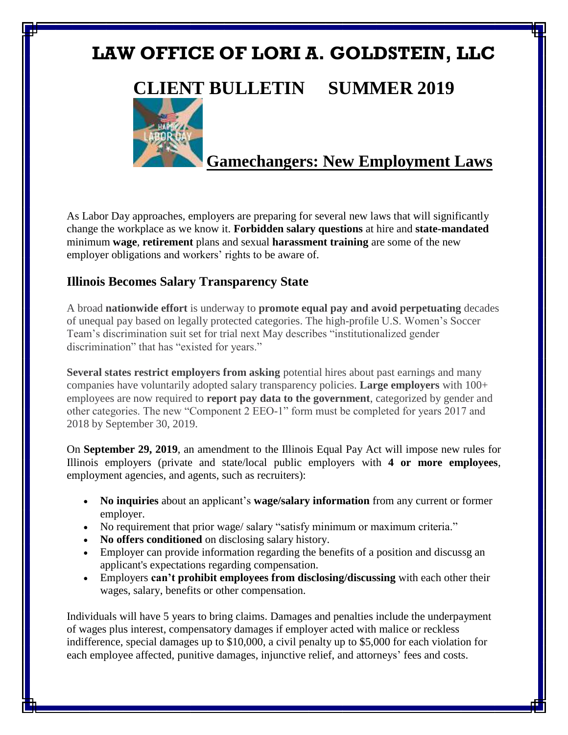# **LAW OFFICE OF LORI A. GOLDSTEIN, LLC**

## **CLIENT BULLETIN SUMMER 2019**



## **Gamechangers: New Employment Laws**

As Labor Day approaches, employers are preparing for several new laws that will significantly change the workplace as we know it. **Forbidden salary questions** at hire and **state-mandated** minimum **wage**, **retirement** plans and sexual **harassment training** are some of the new employer obligations and workers' rights to be aware of.

## **Illinois Becomes Salary Transparency State**

A broad **nationwide effort** is underway to **promote equal pay and avoid perpetuating** decades of unequal pay based on legally protected categories. The high-profile U.S. Women's Soccer Team's discrimination suit set for trial next May describes "institutionalized gender discrimination" that has "existed for years."

**Several states restrict employers from asking** potential hires about past earnings and many companies have voluntarily adopted [salary transparency p](https://www.usatoday.com/story/news/world/2018/01/05/peers-pay-salary-compensation-germanypaid-some-german-bosses-have-tell-you/1008760001/)olicies. **Large employers** with 100+ employees are now required to **report pay data to the government**, categorized by gender and other categories. The new "Component 2 EEO-1" form must be completed for years 2017 and 2018 by September 30, 2019.

On **September 29, 2019**, an amendment to the Illinois Equal Pay Act will impose new rules for Illinois employers (private and state/local public employers with **4 or more employees**, employment agencies, and agents, such as recruiters):

- **No inquiries** about an applicant's **wage/salary information** from any current or former employer.
- No requirement that prior wage/ salary "satisfy minimum or maximum criteria."
- **No offers conditioned** on disclosing salary history.
- Employer can provide information regarding the benefits of a position and discussg an applicant's expectations regarding compensation.
- Employers **can't prohibit employees from disclosing/discussing** with each other their wages, salary, benefits or other compensation.

Individuals will have 5 years to bring claims. Damages and penalties include the underpayment of wages plus interest, compensatory damages if employer acted with malice or reckless indifference, special damages up to \$10,000, a civil penalty up to \$5,000 for each violation for each employee affected, punitive damages, injunctive relief, and attorneys' fees and costs.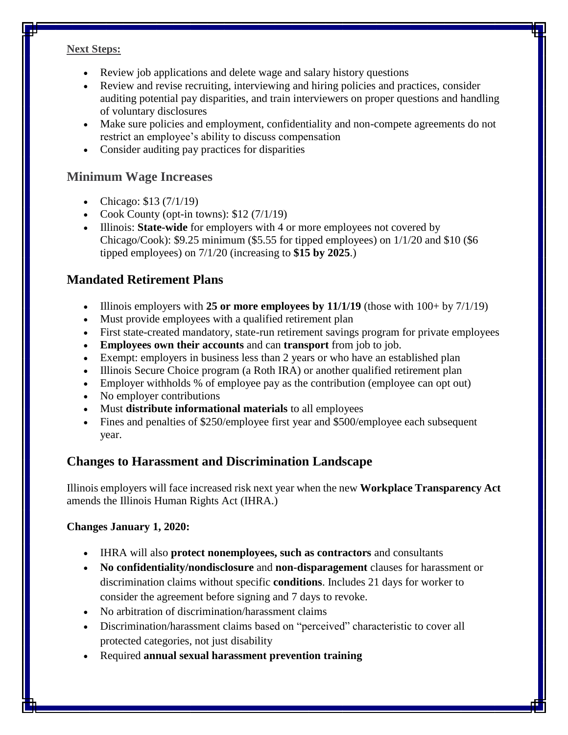#### **Next Steps:**

- Review job applications and delete wage and salary history questions
- Review and revise recruiting, interviewing and hiring policies and practices, consider auditing potential pay disparities, and train interviewers on proper questions and handling of voluntary disclosures
- Make sure policies and employment, confidentiality and non-compete agreements do not restrict an employee's ability to discuss compensation
- Consider auditing pay practices for disparities

### **Minimum Wage Increases**

- Chicago:  $$13 (7/1/19)$
- Cook County (opt-in towns):  $$12 (7/1/19)$
- Illinois: **State-wide** for employers with 4 or more employees not covered by Chicago/Cook): \$9.25 minimum (\$5.55 for tipped employees) on 1/1/20 and \$10 (\$6 tipped employees) on 7/1/20 (increasing to **\$15 by 2025**.)

## **Mandated Retirement Plans**

- Illinois employers with **25 or more employees by 11/1/19** (those with 100+ by 7/1/19)
- Must provide employees with a qualified retirement plan
- First state-created mandatory, state-run retirement savings program for private employees
- **Employees own their accounts** and can **transport** from job to job.
- Exempt: employers in business less than 2 years or who have an established plan
- Illinois Secure Choice program (a Roth IRA) or another qualified retirement plan
- Employer withholds % of employee pay as the contribution (employee can opt out)
- No employer contributions
- Must **distribute informational materials** to all employees
- Fines and penalties of \$250/employee first year and \$500/employee each subsequent year.

## **Changes to Harassment and Discrimination Landscape**

Illinois employers will face increased risk next year when the new **Workplace Transparency Act** amends the Illinois Human Rights Act (IHRA.)

#### **Changes January 1, 2020:**

- IHRA will also **protect nonemployees, such as contractors** and consultants
- **No confidentiality/nondisclosure** and **non-disparagement** clauses for harassment or discrimination claims without specific **conditions**. Includes 21 days for worker to consider the agreement before signing and 7 days to revoke.
- No arbitration of discrimination/harassment claims
- Discrimination/harassment claims based on "perceived" characteristic to cover all protected categories, not just disability
- Required **annual sexual harassment prevention training**